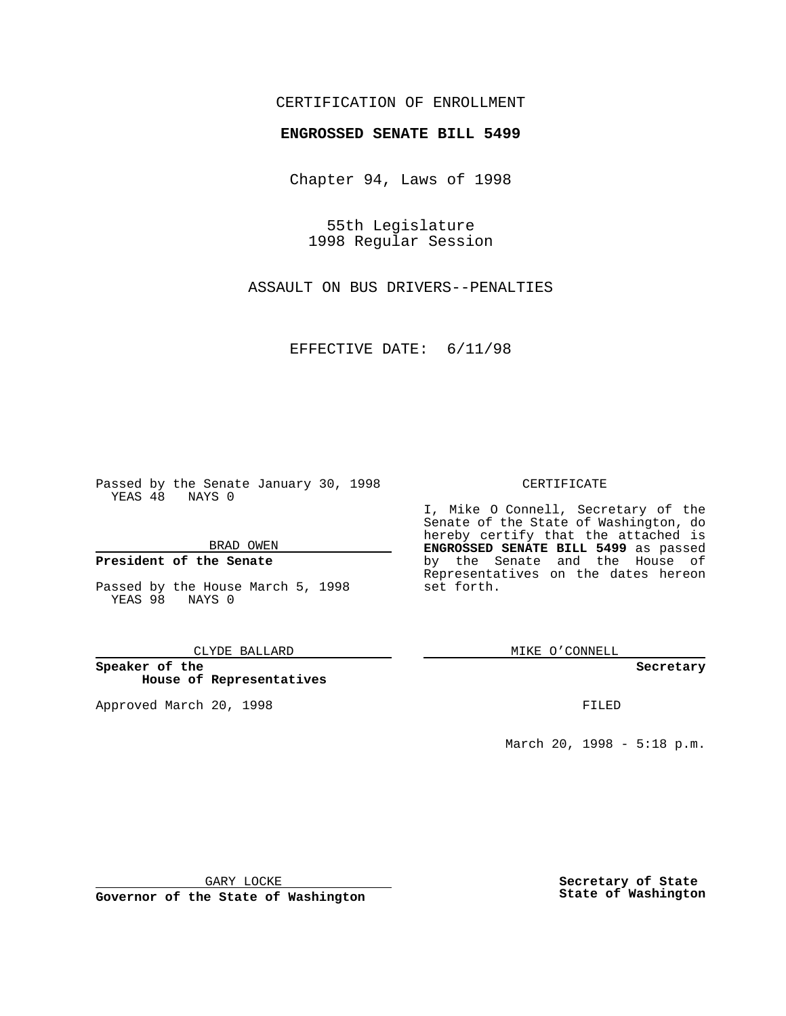### CERTIFICATION OF ENROLLMENT

# **ENGROSSED SENATE BILL 5499**

Chapter 94, Laws of 1998

55th Legislature 1998 Regular Session

ASSAULT ON BUS DRIVERS--PENALTIES

EFFECTIVE DATE: 6/11/98

Passed by the Senate January 30, 1998 YEAS 48 NAYS 0

BRAD OWEN

#### **President of the Senate**

Passed by the House March 5, 1998 YEAS 98 NAYS 0

CLYDE BALLARD

**Speaker of the House of Representatives**

Approved March 20, 1998 **FILED** 

#### CERTIFICATE

I, Mike O Connell, Secretary of the Senate of the State of Washington, do hereby certify that the attached is **ENGROSSED SENATE BILL 5499** as passed by the Senate and the House of Representatives on the dates hereon set forth.

MIKE O'CONNELL

**Secretary**

March 20, 1998 - 5:18 p.m.

GARY LOCKE

**Governor of the State of Washington**

**Secretary of State State of Washington**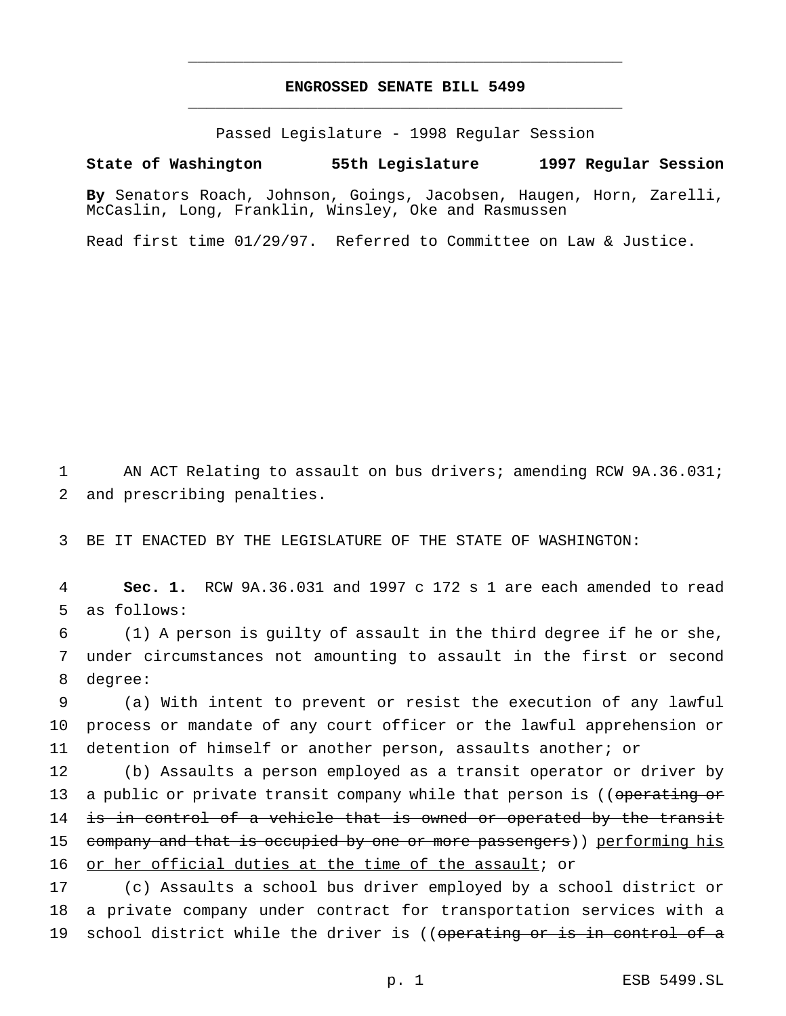## **ENGROSSED SENATE BILL 5499** \_\_\_\_\_\_\_\_\_\_\_\_\_\_\_\_\_\_\_\_\_\_\_\_\_\_\_\_\_\_\_\_\_\_\_\_\_\_\_\_\_\_\_\_\_\_\_

\_\_\_\_\_\_\_\_\_\_\_\_\_\_\_\_\_\_\_\_\_\_\_\_\_\_\_\_\_\_\_\_\_\_\_\_\_\_\_\_\_\_\_\_\_\_\_

Passed Legislature - 1998 Regular Session

### **State of Washington 55th Legislature 1997 Regular Session**

**By** Senators Roach, Johnson, Goings, Jacobsen, Haugen, Horn, Zarelli, McCaslin, Long, Franklin, Winsley, Oke and Rasmussen

Read first time 01/29/97. Referred to Committee on Law & Justice.

1 AN ACT Relating to assault on bus drivers; amending RCW 9A.36.031; 2 and prescribing penalties.

3 BE IT ENACTED BY THE LEGISLATURE OF THE STATE OF WASHINGTON:

4 **Sec. 1.** RCW 9A.36.031 and 1997 c 172 s 1 are each amended to read 5 as follows:

6 (1) A person is guilty of assault in the third degree if he or she, 7 under circumstances not amounting to assault in the first or second 8 degree:

9 (a) With intent to prevent or resist the execution of any lawful 10 process or mandate of any court officer or the lawful apprehension or 11 detention of himself or another person, assaults another; or

12 (b) Assaults a person employed as a transit operator or driver by 13 a public or private transit company while that person is ((operating or 14 is in control of a vehicle that is owned or operated by the transit 15 company and that is occupied by one or more passengers)) performing his 16 or her official duties at the time of the assault; or

17 (c) Assaults a school bus driver employed by a school district or 18 a private company under contract for transportation services with a 19 school district while the driver is ((operating or is in control of a